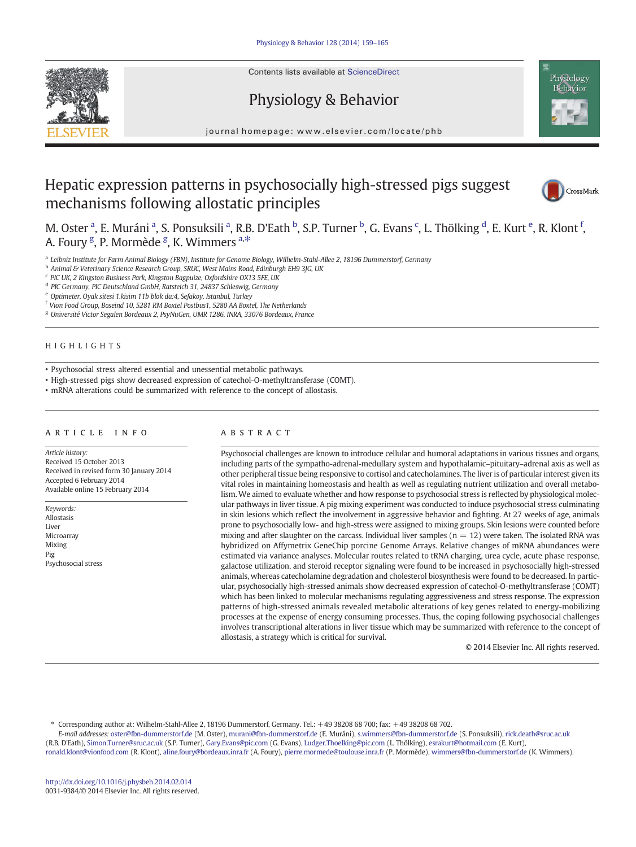Contents lists available at ScienceDirect







journal homepage: www.elsevier.com/locate/phb

# Hepatic expression patterns in psychosocially high-stressed pigs suggest mechanisms following allostatic principles



M. Oster <sup>a</sup>, E. Muráni <sup>a</sup>, S. Ponsuksili <sup>a</sup>, R.B. D'Eath <sup>b</sup>, S.P. Turner <sup>b</sup>, G. Evans <sup>c</sup>, L. Thölking <sup>d</sup>, E. Kurt <sup>e</sup>, R. Klont <sup>f</sup>, A. Foury <sup>g</sup>, P. Mormède <sup>g</sup>, K. Wimmers <sup>a,\*</sup>

a Leibniz Institute for Farm Animal Biology (FBN), Institute for Genome Biology, Wilhelm-Stahl-Allee 2, 18196 Dummerstorf, Germany

**b** Animal & Veterinary Science Research Group, SRUC, West Mains Road, Edinburgh EH9 3JG, UK

<sup>c</sup> PIC UK, 2 Kingston Business Park, Kingston Bagpuize, Oxfordshire OX13 5FE, UK

<sup>d</sup> PIC Germany, PIC Deutschland GmbH, Ratsteich 31, 24837 Schleswig, Germany

<sup>e</sup> Optimeter, Oyak sitesi 1.kisim 11b blok da:4, Sefakoy, Istanbul, Turkey

<sup>f</sup> Vion Food Group, Boseind 10, 5281 RM Boxtel Postbus1, 5280 AA Boxtel, The Netherlands

<sup>g</sup> Université Victor Segalen Bordeaux 2, PsyNuGen, UMR 1286, INRA, 33076 Bordeaux, France

# HIGHLIGHTS

• Psychosocial stress altered essential and unessential metabolic pathways.

• High-stressed pigs show decreased expression of catechol-O-methyltransferase (COMT).

• mRNA alterations could be summarized with reference to the concept of allostasis.

#### article info abstract

Article history: Received 15 October 2013 Received in revised form 30 January 2014 Accepted 6 February 2014 Available online 15 February 2014

Keywords: Allostasis Liver Microarray Mixing Pig Psychosocial stress

Psychosocial challenges are known to introduce cellular and humoral adaptations in various tissues and organs, including parts of the sympatho-adrenal-medullary system and hypothalamic–pituitary–adrenal axis as well as other peripheral tissue being responsive to cortisol and catecholamines. The liver is of particular interest given its vital roles in maintaining homeostasis and health as well as regulating nutrient utilization and overall metabolism. We aimed to evaluate whether and how response to psychosocial stress is reflected by physiological molecular pathways in liver tissue. A pig mixing experiment was conducted to induce psychosocial stress culminating in skin lesions which reflect the involvement in aggressive behavior and fighting. At 27 weeks of age, animals prone to psychosocially low- and high-stress were assigned to mixing groups. Skin lesions were counted before mixing and after slaughter on the carcass. Individual liver samples ( $n = 12$ ) were taken. The isolated RNA was hybridized on Affymetrix GeneChip porcine Genome Arrays. Relative changes of mRNA abundances were estimated via variance analyses. Molecular routes related to tRNA charging, urea cycle, acute phase response, galactose utilization, and steroid receptor signaling were found to be increased in psychosocially high-stressed animals, whereas catecholamine degradation and cholesterol biosynthesis were found to be decreased. In particular, psychosocially high-stressed animals show decreased expression of catechol-O-methyltransferase (COMT) which has been linked to molecular mechanisms regulating aggressiveness and stress response. The expression patterns of high-stressed animals revealed metabolic alterations of key genes related to energy-mobilizing processes at the expense of energy consuming processes. Thus, the coping following psychosocial challenges involves transcriptional alterations in liver tissue which may be summarized with reference to the concept of allostasis, a strategy which is critical for survival.

© 2014 Elsevier Inc. All rights reserved.

⁎ Corresponding author at: Wilhelm-Stahl-Allee 2, 18196 Dummerstorf, Germany. Tel.: +49 38208 68 700; fax: +49 38208 68 702.

E-mail addresses: [oster@fbn-dummerstorf.de](mailto:oster@fbn-dummerstorf.de) (M. Oster), [murani@fbn-dummerstorf.de](mailto:murani@fbn-dummerstorf.de) (E. Muráni), [s.wimmers@fbn-dummerstorf.de](mailto:s.wimmers@fbn-dummerstorf.de) (S. Ponsuksili), [rick.death@sruc.ac.uk](mailto:rick.death@sruc.ac.uk) (R.B. D'Eath), [Simon.Turner@sruc.ac.uk](mailto:Simon.Turner@sruc.ac.uk) (S.P. Turner), [Gary.Evans@pic.com](mailto:Gary.Evans@pic.com) (G. Evans), [Ludger.Thoelking@pic.com](mailto:Ludger.Thoelking@pic.com) (L. Thölking), [esrakurt@hotmail.com](mailto:esrakurt@hotmail.com) (E. Kurt), [ronald.klont@vionfood.com](mailto:ronald.klont@vionfood.com) (R. Klont), [aline.foury@bordeaux.inra.fr](mailto:aline.foury@bordeaux.inra.fr) (A. Foury), [pierre.mormede@toulouse.inra.fr](mailto:pierre.mormede@toulouse.inra.fr) (P. Mormède), [wimmers@fbn-dummerstorf.de](mailto:wimmers@fbn-dummerstorf.de) (K. Wimmers).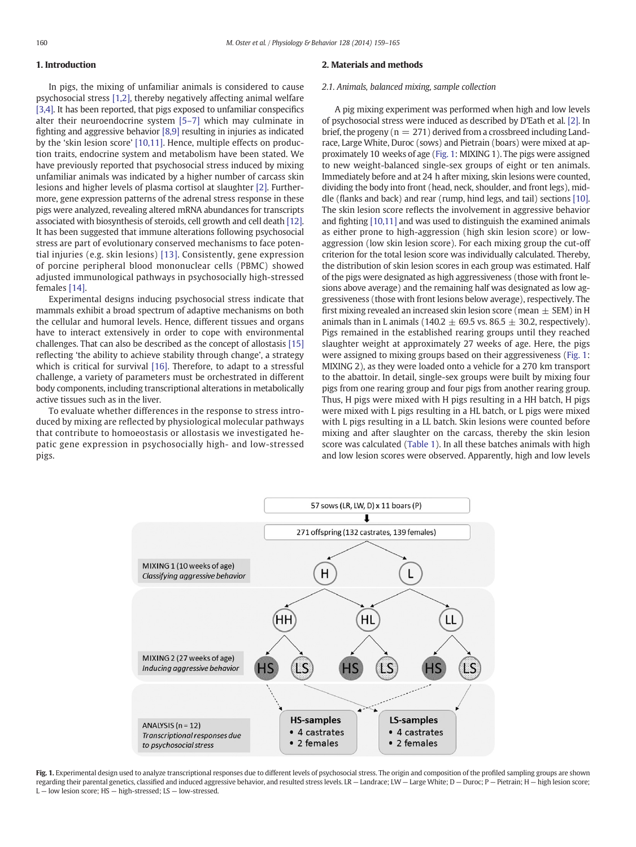# <span id="page-1-0"></span>1. Introduction

In pigs, the mixing of unfamiliar animals is considered to cause psychosocial stress [\[1,2\],](#page-6-0) thereby negatively affecting animal welfare [\[3,4\].](#page-6-0) It has been reported, that pigs exposed to unfamiliar conspecifics alter their neuroendocrine system [5–[7\]](#page-6-0) which may culminate in fighting and aggressive behavior [\[8,9\]](#page-6-0) resulting in injuries as indicated by the 'skin lesion score' [\[10,11\].](#page-6-0) Hence, multiple effects on production traits, endocrine system and metabolism have been stated. We have previously reported that psychosocial stress induced by mixing unfamiliar animals was indicated by a higher number of carcass skin lesions and higher levels of plasma cortisol at slaughter [\[2\]](#page-6-0). Furthermore, gene expression patterns of the adrenal stress response in these pigs were analyzed, revealing altered mRNA abundances for transcripts associated with biosynthesis of steroids, cell growth and cell death [\[12\].](#page-6-0) It has been suggested that immune alterations following psychosocial stress are part of evolutionary conserved mechanisms to face potential injuries (e.g. skin lesions) [\[13\]](#page-6-0). Consistently, gene expression of porcine peripheral blood mononuclear cells (PBMC) showed adjusted immunological pathways in psychosocially high-stressed females [\[14\].](#page-6-0)

Experimental designs inducing psychosocial stress indicate that mammals exhibit a broad spectrum of adaptive mechanisms on both the cellular and humoral levels. Hence, different tissues and organs have to interact extensively in order to cope with environmental challenges. That can also be described as the concept of allostasis [\[15\]](#page-6-0) reflecting 'the ability to achieve stability through change', a strategy which is critical for survival [\[16\].](#page-6-0) Therefore, to adapt to a stressful challenge, a variety of parameters must be orchestrated in different body components, including transcriptional alterations in metabolically active tissues such as in the liver.

To evaluate whether differences in the response to stress introduced by mixing are reflected by physiological molecular pathways that contribute to homoeostasis or allostasis we investigated hepatic gene expression in psychosocially high- and low-stressed pigs.

#### 2. Materials and methods

#### 2.1. Animals, balanced mixing, sample collection

A pig mixing experiment was performed when high and low levels of psychosocial stress were induced as described by D'Eath et al. [\[2\].](#page-6-0) In brief, the progeny ( $n = 271$ ) derived from a crossbreed including Landrace, Large White, Duroc (sows) and Pietrain (boars) were mixed at approximately 10 weeks of age (Fig. 1: MIXING 1). The pigs were assigned to new weight-balanced single-sex groups of eight or ten animals. Immediately before and at 24 h after mixing, skin lesions were counted, dividing the body into front (head, neck, shoulder, and front legs), middle (flanks and back) and rear (rump, hind legs, and tail) sections [\[10\].](#page-6-0) The skin lesion score reflects the involvement in aggressive behavior and fighting [\[10,11\]](#page-6-0) and was used to distinguish the examined animals as either prone to high-aggression (high skin lesion score) or lowaggression (low skin lesion score). For each mixing group the cut-off criterion for the total lesion score was individually calculated. Thereby, the distribution of skin lesion scores in each group was estimated. Half of the pigs were designated as high aggressiveness (those with front lesions above average) and the remaining half was designated as low aggressiveness (those with front lesions below average), respectively. The first mixing revealed an increased skin lesion score (mean  $\pm$  SEM) in H animals than in L animals (140.2  $\pm$  69.5 vs. 86.5  $\pm$  30.2, respectively). Pigs remained in the established rearing groups until they reached slaughter weight at approximately 27 weeks of age. Here, the pigs were assigned to mixing groups based on their aggressiveness (Fig. 1: MIXING 2), as they were loaded onto a vehicle for a 270 km transport to the abattoir. In detail, single-sex groups were built by mixing four pigs from one rearing group and four pigs from another rearing group. Thus, H pigs were mixed with H pigs resulting in a HH batch, H pigs were mixed with L pigs resulting in a HL batch, or L pigs were mixed with L pigs resulting in a LL batch. Skin lesions were counted before mixing and after slaughter on the carcass, thereby the skin lesion score was calculated ([Table 1\)](#page-2-0). In all these batches animals with high and low lesion scores were observed. Apparently, high and low levels



Fig. 1. Experimental design used to analyze transcriptional responses due to different levels of psychosocial stress. The origin and composition of the profiled sampling groups are shown regarding their parental genetics, classified and induced aggressive behavior, and resulted stress levels. LR - Landrace; LW - Large White; D - Duroc; P - Pietrain; H - high lesion score; L — low lesion score; HS — high-stressed; LS — low-stressed.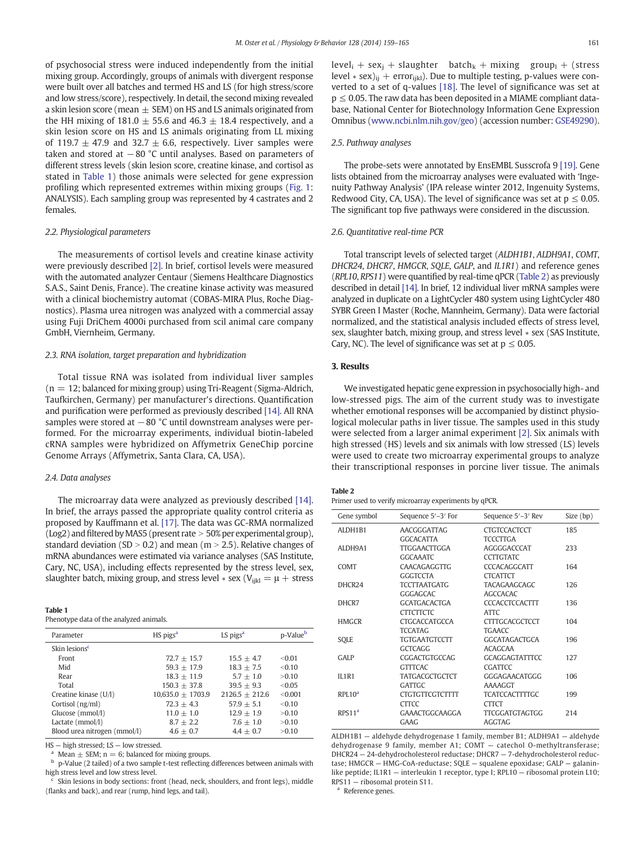<span id="page-2-0"></span>of psychosocial stress were induced independently from the initial mixing group. Accordingly, groups of animals with divergent response were built over all batches and termed HS and LS (for high stress/score and low stress/score), respectively. In detail, the second mixing revealed a skin lesion score (mean  $\pm$  SEM) on HS and LS animals originated from the HH mixing of 181.0  $\pm$  55.6 and 46.3  $\pm$  18.4 respectively, and a skin lesion score on HS and LS animals originating from LL mixing of 119.7  $\pm$  47.9 and 32.7  $\pm$  6.6, respectively. Liver samples were taken and stored at −80 °C until analyses. Based on parameters of different stress levels (skin lesion score, creatine kinase, and cortisol as stated in Table 1) those animals were selected for gene expression profiling which represented extremes within mixing groups [\(Fig. 1:](#page-1-0) ANALYSIS). Each sampling group was represented by 4 castrates and 2 females.

#### 2.2. Physiological parameters

The measurements of cortisol levels and creatine kinase activity were previously described [\[2\].](#page-6-0) In brief, cortisol levels were measured with the automated analyzer Centaur (Siemens Healthcare Diagnostics S.A.S., Saint Denis, France). The creatine kinase activity was measured with a clinical biochemistry automat (COBAS-MIRA Plus, Roche Diagnostics). Plasma urea nitrogen was analyzed with a commercial assay using Fuji DriChem 4000i purchased from scil animal care company GmbH, Viernheim, Germany.

# 2.3. RNA isolation, target preparation and hybridization

Total tissue RNA was isolated from individual liver samples  $(n = 12;$  balanced for mixing group) using Tri-Reagent (Sigma-Aldrich, Taufkirchen, Germany) per manufacturer's directions. Quantification and purification were performed as previously described [\[14\]](#page-6-0). All RNA samples were stored at −80 °C until downstream analyses were performed. For the microarray experiments, individual biotin-labeled cRNA samples were hybridized on Affymetrix GeneChip porcine Genome Arrays (Affymetrix, Santa Clara, CA, USA).

#### 2.4. Data analyses

The microarray data were analyzed as previously described [\[14\].](#page-6-0) In brief, the arrays passed the appropriate quality control criteria as proposed by Kauffmann et al. [\[17\].](#page-6-0) The data was GC-RMA normalized  $($ Log2 $)$  and filtered by MAS5 (present rate  $>$  50% per experimental group), standard deviation (SD  $> 0.2$ ) and mean (m  $> 2.5$ ). Relative changes of mRNA abundances were estimated via variance analyses (SAS Institute, Cary, NC, USA), including effects represented by the stress level, sex, slaughter batch, mixing group, and stress level  $*$  sex (V<sub>iikl</sub> =  $\mu$  + stress

#### Table 1

Phenotype data of the analyzed animals.

| Parameter                              | HS pigs <sup>a</sup>  | LS pigs <sup>a</sup> | p-Value <sup>b</sup> |
|----------------------------------------|-----------------------|----------------------|----------------------|
| Skin lesions <sup><math>c</math></sup> |                       |                      |                      |
| Front                                  | $72.7 + 15.7$         | $15.5 + 4.7$         | < 0.01               |
| Mid                                    | $59.3 + 17.9$         | $18.3 + 7.5$         | < 0.10               |
| Rear                                   | $18.3 + 11.9$         | $5.7 + 1.0$          | > 0.10               |
| Total                                  | $150.3 + 37.8$        | $39.5 + 9.3$         | < 0.05               |
| Creatine kinase (U/l)                  | $10,635.0 \pm 1703.9$ | $2126.5 + 212.6$     | <0.001               |
| Cortisol (ng/ml)                       | $72.3 + 4.3$          | $57.9 + 5.1$         | < 0.10               |
| Glucose (mmol/l)                       | $11.0 + 1.0$          | $12.9 + 1.9$         | > 0.10               |
| Lactate (mmol/l)                       | $8.7 + 2.2$           | $7.6 + 1.0$          | > 0.10               |
| Blood urea nitrogen (mmol/l)           | $4.6 + 0.7$           | $4.4 + 0.7$          | > 0.10               |

HS — high stressed; LS — low stressed.

Mean  $\pm$  SEM; n = 6; balanced for mixing groups.

<sup>b</sup> p-Value (2 tailed) of a two sample t-test reflecting differences between animals with high stress level and low stress level.

Skin lesions in body sections: front (head, neck, shoulders, and front legs), middle (flanks and back), and rear (rump, hind legs, and tail).

 $level<sub>i</sub> + sex<sub>j</sub> + slaughter batch<sub>k</sub> + mixing group<sub>l</sub> + (stress)$ level ∗ sex)<sub>ij</sub> + error<sub>ijkl</sub>). Due to multiple testing, p-values were converted to a set of q-values [\[18\].](#page-6-0) The level of significance was set at  $p \le 0.05$ . The raw data has been deposited in a MIAME compliant database, National Center for Biotechnology Information Gene Expression Omnibus ([www.ncbi.nlm.nih.gov/geo\)](http://www.ncbi.nlm.nih.gov/geo)) (accession number: [GSE49290](ncbi-geo:GSE49290))).

# 2.5. Pathway analyses

The probe-sets were annotated by EnsEMBL Susscrofa 9 [\[19\]](#page-6-0). Gene lists obtained from the microarray analyses were evaluated with 'Ingenuity Pathway Analysis' (IPA release winter 2012, Ingenuity Systems, Redwood City, CA, USA). The level of significance was set at  $p \le 0.05$ . The significant top five pathways were considered in the discussion.

#### 2.6. Quantitative real-time PCR

Total transcript levels of selected target (ALDH1B1, ALDH9A1, COMT, DHCR24, DHCR7, HMGCR, SQLE, GALP, and IL1R1) and reference genes (RPL10, RPS11) were quantified by real-time qPCR (Table 2) as previously described in detail [\[14\].](#page-6-0) In brief, 12 individual liver mRNA samples were analyzed in duplicate on a LightCycler 480 system using LightCycler 480 SYBR Green I Master (Roche, Mannheim, Germany). Data were factorial normalized, and the statistical analysis included effects of stress level, sex, slaughter batch, mixing group, and stress level ∗ sex (SAS Institute, Cary, NC). The level of significance was set at  $p \le 0.05$ .

#### 3. Results

We investigated hepatic gene expression in psychosocially high- and low-stressed pigs. The aim of the current study was to investigate whether emotional responses will be accompanied by distinct physiological molecular paths in liver tissue. The samples used in this study were selected from a larger animal experiment [\[2\]](#page-6-0). Six animals with high stressed (HS) levels and six animals with low stressed (LS) levels were used to create two microarray experimental groups to analyze their transcriptional responses in porcine liver tissue. The animals

#### Table 2

Primer used to verify microarray experiments by qPCR.

| Gene symbol        | Sequence 5'-3' For     | Sequence 5'-3' Rev    | Size (bp) |
|--------------------|------------------------|-----------------------|-----------|
| ALDH1B1            | AACGGGATTAG            | <b>CTGTCCACTCCT</b>   | 185       |
|                    | <b>GGCACATTA</b>       | <b>TCCCTTGA</b>       |           |
| ALDH9A1            | TTGGAACTTGGA           | AGGGGACCCAT           | 233       |
|                    | <b>GGCAAATC</b>        | <b>CCTTGTATC</b>      |           |
| <b>COMT</b>        | CAACAGAGGTTG           | <b>CCCACAGGCATT</b>   | 164       |
|                    | <b>GGGTCCTA</b>        | <b>CTCATTCT</b>       |           |
| DHCR <sub>24</sub> | <b>TCCTTAATGATG</b>    | <b>TACAGAAGCAGC</b>   | 126       |
|                    | GGGAGCAC               | <b>AGCCACAC</b>       |           |
| DHCR7              | <b>GCATGACACTGA</b>    | <b>CCCACCTCCACTTT</b> | 136       |
|                    | <b>CTTCTTCTC</b>       | ATTC                  |           |
| <b>HMGCR</b>       | <b>CTGCACCATGCCA</b>   | <b>CTTTGCACGCTCCT</b> | 104       |
|                    | <b>TCCATAG</b>         | <b>TGAACC</b>         |           |
| SOLE               | <b>TGTGAATGTCCTT</b>   | GGCATAGACTGCA         | 196       |
|                    | <b>GCTCAGG</b>         | <b>ACAGCAA</b>        |           |
| <b>GALP</b>        | CGGACTGTGCCAG          | <b>GCAGGAGTATTTCC</b> | 127       |
|                    | <b>GTTTCAC</b>         | CGATTCC               |           |
| <b>IL1R1</b>       | <b>TATGACGCTGCTCT</b>  | GGGAGAACATGGG         | 106       |
|                    | <b>GATTGC</b>          | AAAAGGT               |           |
| RPL10 <sup>a</sup> | <b>CTGTGTTCGTCTTTT</b> | <b>TCATCCACTTTTGC</b> | 199       |
|                    | <b>CTTCC</b>           | <b>CTTCT</b>          |           |
| RPS11 <sup>a</sup> | GAAACTGGCAAGGA         | <b>TTCGGATGTAGTGG</b> | 214       |
|                    | GAAG                   | <b>AGGTAG</b>         |           |

ALDH1B1 — aldehyde dehydrogenase 1 family, member B1; ALDH9A1 — aldehyde dehydrogenase 9 family, member A1; COMT — catechol O-methyltransferase; DHCR24 — 24-dehydrocholesterol reductase; DHCR7 — 7-dehydrocholesterol reductase; HMGCR — HMG-CoA-reductase; SQLE — squalene epoxidase; GALP — galaninlike peptide; IL1R1 — interleukin 1 receptor, type I; RPL10 — ribosomal protein L10; RPS11 — ribosomal protein S11.

<sup>a</sup> Reference genes.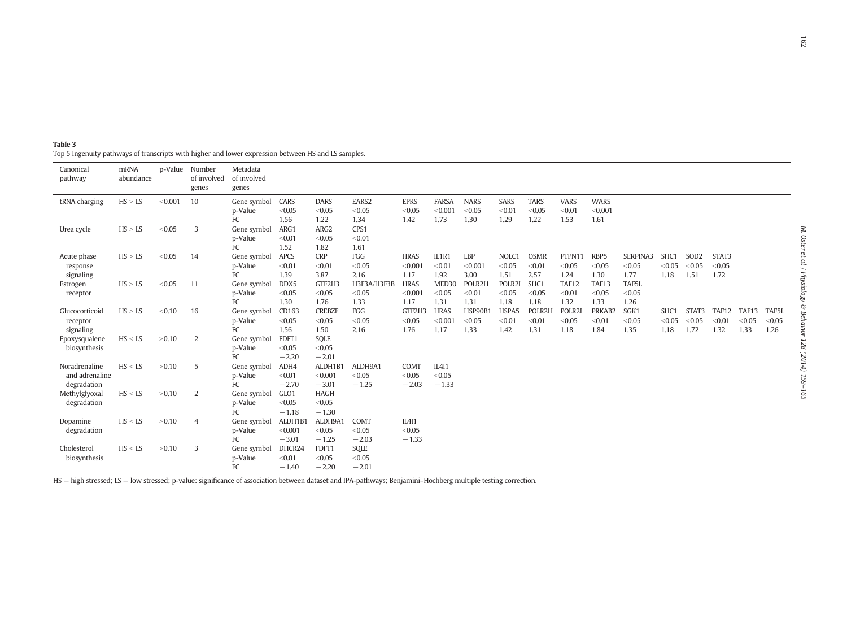<span id="page-3-0"></span>

| Table 3                                                                                             |
|-----------------------------------------------------------------------------------------------------|
| Top 5 Ingenuity pathways of transcripts with higher and lower expression between HS and LS samples. |

| Canonical<br>pathway | mRNA<br>abundance |         | p-Value Number<br>of involved<br>genes | Metadata<br>of involved<br>genes |                |                       |                 |                       |                   |                       |                       |                       |                       |                        |          |        |                  |        |        |        |
|----------------------|-------------------|---------|----------------------------------------|----------------------------------|----------------|-----------------------|-----------------|-----------------------|-------------------|-----------------------|-----------------------|-----------------------|-----------------------|------------------------|----------|--------|------------------|--------|--------|--------|
| tRNA charging        | HS > LS           | < 0.001 | 10                                     | Gene symbol<br>p-Value           | CARS<br>< 0.05 | <b>DARS</b><br>< 0.05 | EARS2<br>< 0.05 | <b>EPRS</b><br>< 0.05 | FARSA<br>< 0.001  | <b>NARS</b><br>< 0.05 | <b>SARS</b><br>< 0.01 | <b>TARS</b><br>< 0.05 | <b>VARS</b><br>< 0.01 | <b>WARS</b><br>< 0.001 |          |        |                  |        |        |        |
|                      |                   |         |                                        | FC                               | 1.56           | 1.22                  | 1.34            | 1.42                  | 1.73              | 1.30                  | 1.29                  | 1.22                  | 1.53                  | 1.61                   |          |        |                  |        |        |        |
| Urea cycle           | HS > LS           | < 0.05  | 3                                      | Gene symbol                      | ARG1           | ARG2                  | CPS1            |                       |                   |                       |                       |                       |                       |                        |          |        |                  |        |        |        |
|                      |                   |         |                                        | p-Value                          | < 0.01         | < 0.05                | < 0.01          |                       |                   |                       |                       |                       |                       |                        |          |        |                  |        |        |        |
|                      |                   |         |                                        | FC                               | 1.52           | 1.82                  | 1.61            |                       |                   |                       |                       |                       |                       |                        |          |        |                  |        |        |        |
| Acute phase          | HS > LS           | < 0.05  | 14                                     | Gene symbol                      | APCS           | <b>CRP</b>            | FGG             | <b>HRAS</b>           | IL1R1             | LBP                   | NOLC1                 | <b>OSMR</b>           | PTPN11                | RBP5                   | SERPINA3 | SHC1   | SOD <sub>2</sub> | STAT3  |        |        |
| response             |                   |         |                                        | p-Value                          | < 0.01         | < 0.01                | < 0.05          | < 0.001               | < 0.01            | < 0.001               | < 0.05                | < 0.01                | < 0.05                | < 0.05                 | < 0.05   | < 0.05 | < 0.05           | < 0.05 |        |        |
| signaling            |                   |         |                                        | FC                               | 1.39           | 3.87                  | 2.16            | 1.17                  | 1.92              | 3.00                  | 1.51                  | 2.57                  | 1.24                  | 1.30                   | 1.77     | 1.18   | 1.51             | 1.72   |        |        |
| Estrogen             | HS > LS           | < 0.05  | 11                                     | Gene symbol                      | DDX5           | GTF2H3                | H3F3A/H3F3B     | <b>HRAS</b>           | MED <sub>30</sub> | POLR2H                | POLR2I                | SHC <sub>1</sub>      | TAF12                 | TAF13                  | TAF5L    |        |                  |        |        |        |
| receptor             |                   |         |                                        | p-Value                          | < 0.05         | < 0.05                | < 0.05          | < 0.001               | < 0.05            | < 0.01                | < 0.05                | < 0.05                | < 0.01                | < 0.05                 | < 0.05   |        |                  |        |        |        |
|                      |                   |         |                                        | FC                               | 1.30           | 1.76                  | 1.33            | 1.17                  | 1.31              | 1.31                  | 1.18                  | 1.18                  | 1.32                  | 1.33                   | 1.26     |        |                  |        |        |        |
| Glucocorticoid       | HS > LS           | < 0.10  | 16                                     | Gene symbol                      | CD163          | <b>CREBZF</b>         | FGG             | GTF2H3                | <b>HRAS</b>       | HSP90B1               | HSPA5                 | POLR2H                | POLR2I                | PRKAB2                 | SGK1     | SHC1   | STAT3            | TAF12  | TAF13  | TAF5L  |
| receptor             |                   |         |                                        | p-Value                          | < 0.05         | < 0.05                | < 0.05          | < 0.05                | < 0.001           | < 0.05                | < 0.01                | < 0.01                | < 0.05                | < 0.01                 | < 0.05   | < 0.05 | < 0.05           | < 0.01 | < 0.05 | < 0.05 |
| signaling            |                   |         |                                        | FC                               | 1.56           | 1.50                  | 2.16            | 1.76                  | 1.17              | 1.33                  | 1.42                  | 1.31                  | 1.18                  | 1.84                   | 1.35     | 1.18   | 1.72             | 1.32   | 1.33   | 1.26   |
| Epoxysqualene        | HS < LS           | >0.10   | 2                                      | Gene symbol                      | FDFT1          | SQLE                  |                 |                       |                   |                       |                       |                       |                       |                        |          |        |                  |        |        |        |
| biosynthesis         |                   |         |                                        | p-Value                          | < 0.05         | < 0.05                |                 |                       |                   |                       |                       |                       |                       |                        |          |        |                  |        |        |        |
|                      |                   |         |                                        | FC                               | $-2.20$        | $-2.01$               |                 |                       |                   |                       |                       |                       |                       |                        |          |        |                  |        |        |        |
| Noradrenaline        | HS < LS           | >0.10   | 5                                      | Gene symbol                      | ADH4           | ALDH1B1               | ALDH9A1         | COMT                  | IL4I1             |                       |                       |                       |                       |                        |          |        |                  |        |        |        |
| and adrenaline       |                   |         |                                        | p-Value                          | < 0.01         | < 0.001               | < 0.05          | < 0.05                | < 0.05            |                       |                       |                       |                       |                        |          |        |                  |        |        |        |
| degradation          |                   |         |                                        | FC                               | $-2.70$        | $-3.01$               | $-1.25$         | $-2.03$               | $-1.33$           |                       |                       |                       |                       |                        |          |        |                  |        |        |        |
| Methylglyoxal        | HS < LS           | >0.10   | 2                                      | Gene symbol                      | GLO1           | <b>HAGH</b>           |                 |                       |                   |                       |                       |                       |                       |                        |          |        |                  |        |        |        |
| degradation          |                   |         |                                        | p-Value                          | < 0.05         | < 0.05                |                 |                       |                   |                       |                       |                       |                       |                        |          |        |                  |        |        |        |
|                      |                   |         |                                        | FC                               | $-1.18$        | $-1.30$               |                 |                       |                   |                       |                       |                       |                       |                        |          |        |                  |        |        |        |
| Dopamine             | HS < LS           | >0.10   | $\overline{4}$                         | Gene symbol                      | ALDH1B1        | ALDH9A1               | COMT            | IL4I1                 |                   |                       |                       |                       |                       |                        |          |        |                  |        |        |        |
| degradation          |                   |         |                                        | p-Value                          | < 0.001        | < 0.05                | < 0.05          | < 0.05                |                   |                       |                       |                       |                       |                        |          |        |                  |        |        |        |
|                      |                   |         |                                        | FC                               | $-3.01$        | $-1.25$               | $-2.03$         | $-1.33$               |                   |                       |                       |                       |                       |                        |          |        |                  |        |        |        |
| Cholesterol          | HS < LS           | >0.10   | 3                                      | Gene symbol                      | DHCR24         | FDFT1                 | SQLE            |                       |                   |                       |                       |                       |                       |                        |          |        |                  |        |        |        |
| biosynthesis         |                   |         |                                        | p-Value                          | < 0.01         | < 0.05                | < 0.05          |                       |                   |                       |                       |                       |                       |                        |          |        |                  |        |        |        |
|                      |                   |         |                                        | FC                               | $-1.40$        | $-2.20$               | $-2.01$         |                       |                   |                       |                       |                       |                       |                        |          |        |                  |        |        |        |

HS — high stressed; LS — low stressed; p-value: significance of association between dataset and IPA-pathways; Benjamini–Hochberg multiple testing correction.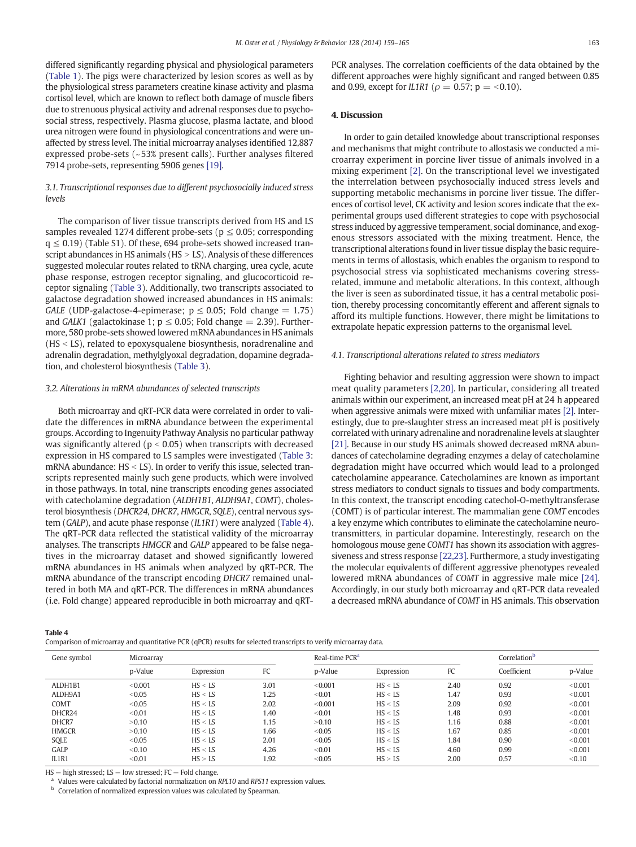differed significantly regarding physical and physiological parameters [\(Table 1\)](#page-2-0). The pigs were characterized by lesion scores as well as by the physiological stress parameters creatine kinase activity and plasma cortisol level, which are known to reflect both damage of muscle fibers due to strenuous physical activity and adrenal responses due to psychosocial stress, respectively. Plasma glucose, plasma lactate, and blood urea nitrogen were found in physiological concentrations and were unaffected by stress level. The initial microarray analyses identified 12,887 expressed probe-sets (~53% present calls). Further analyses filtered 7914 probe-sets, representing 5906 genes [\[19\].](#page-6-0)

# 3.1. Transcriptional responses due to different psychosocially induced stress levels

The comparison of liver tissue transcripts derived from HS and LS samples revealed 1274 different probe-sets ( $p \leq 0.05$ ; corresponding  $q \leq 0.19$ ) (Table S1). Of these, 694 probe-sets showed increased transcript abundances in HS animals ( $HS > LS$ ). Analysis of these differences suggested molecular routes related to tRNA charging, urea cycle, acute phase response, estrogen receptor signaling, and glucocorticoid receptor signaling ([Table 3\)](#page-3-0). Additionally, two transcripts associated to galactose degradation showed increased abundances in HS animals: GALE (UDP-galactose-4-epimerase;  $p \le 0.05$ ; Fold change = 1.75) and GALK1 (galactokinase 1;  $p \le 0.05$ ; Fold change = 2.39). Furthermore, 580 probe-sets showed lowered mRNA abundances in HS animals  $(HS < LS)$ , related to epoxysqualene biosynthesis, noradrenaline and adrenalin degradation, methylglyoxal degradation, dopamine degradation, and cholesterol biosynthesis [\(Table 3\)](#page-3-0).

#### 3.2. Alterations in mRNA abundances of selected transcripts

Both microarray and qRT-PCR data were correlated in order to validate the differences in mRNA abundance between the experimental groups. According to Ingenuity Pathway Analysis no particular pathway was significantly altered ( $p < 0.05$ ) when transcripts with decreased expression in HS compared to LS samples were investigated ([Table 3:](#page-3-0) mRNA abundance:  $HS < LS$ ). In order to verify this issue, selected transcripts represented mainly such gene products, which were involved in those pathways. In total, nine transcripts encoding genes associated with catecholamine degradation (ALDH1B1, ALDH9A1, COMT), cholesterol biosynthesis (DHCR24, DHCR7, HMGCR, SQLE), central nervous system (GALP), and acute phase response (IL1R1) were analyzed (Table 4). The qRT-PCR data reflected the statistical validity of the microarray analyses. The transcripts HMGCR and GALP appeared to be false negatives in the microarray dataset and showed significantly lowered mRNA abundances in HS animals when analyzed by qRT-PCR. The mRNA abundance of the transcript encoding DHCR7 remained unaltered in both MA and qRT-PCR. The differences in mRNA abundances (i.e. Fold change) appeared reproducible in both microarray and qRT- PCR analyses. The correlation coefficients of the data obtained by the different approaches were highly significant and ranged between 0.85 and 0.99, except for *IL1R1* ( $\rho = 0.57$ ;  $p = <0.10$ ).

#### 4. Discussion

In order to gain detailed knowledge about transcriptional responses and mechanisms that might contribute to allostasis we conducted a microarray experiment in porcine liver tissue of animals involved in a mixing experiment [\[2\]](#page-6-0). On the transcriptional level we investigated the interrelation between psychosocially induced stress levels and supporting metabolic mechanisms in porcine liver tissue. The differences of cortisol level, CK activity and lesion scores indicate that the experimental groups used different strategies to cope with psychosocial stress induced by aggressive temperament, social dominance, and exogenous stressors associated with the mixing treatment. Hence, the transcriptional alterations found in liver tissue display the basic requirements in terms of allostasis, which enables the organism to respond to psychosocial stress via sophisticated mechanisms covering stressrelated, immune and metabolic alterations. In this context, although the liver is seen as subordinated tissue, it has a central metabolic position, thereby processing concomitantly efferent and afferent signals to afford its multiple functions. However, there might be limitations to extrapolate hepatic expression patterns to the organismal level.

### 4.1. Transcriptional alterations related to stress mediators

Fighting behavior and resulting aggression were shown to impact meat quality parameters [\[2,20\].](#page-6-0) In particular, considering all treated animals within our experiment, an increased meat pH at 24 h appeared when aggressive animals were mixed with unfamiliar mates [\[2\]](#page-6-0). Interestingly, due to pre-slaughter stress an increased meat pH is positively correlated with urinary adrenaline and noradrenaline levels at slaughter [\[21\].](#page-6-0) Because in our study HS animals showed decreased mRNA abundances of catecholamine degrading enzymes a delay of catecholamine degradation might have occurred which would lead to a prolonged catecholamine appearance. Catecholamines are known as important stress mediators to conduct signals to tissues and body compartments. In this context, the transcript encoding catechol-O-methyltransferase (COMT) is of particular interest. The mammalian gene COMT encodes a key enzyme which contributes to eliminate the catecholamine neurotransmitters, in particular dopamine. Interestingly, research on the homologous mouse gene COMT1 has shown its association with aggressiveness and stress response [\[22,23\].](#page-6-0) Furthermore, a study investigating the molecular equivalents of different aggressive phenotypes revealed lowered mRNA abundances of COMT in aggressive male mice [\[24\].](#page-6-0) Accordingly, in our study both microarray and qRT-PCR data revealed a decreased mRNA abundance of COMT in HS animals. This observation

| . |  |
|---|--|
|---|--|

Comparison of microarray and quantitative PCR (qPCR) results for selected transcripts to verify microarray data.

| Gene symbol  | Microarray |            |      | Real-time PCR <sup>a</sup> |            | Correlation <sup>b</sup> |             |         |
|--------------|------------|------------|------|----------------------------|------------|--------------------------|-------------|---------|
|              | p-Value    | Expression | FC   | p-Value                    | Expression | FC                       | Coefficient | p-Value |
| ALDH1B1      | < 0.001    | HS < LS    | 3.01 | < 0.001                    | HS < LS    | 2.40                     | 0.92        | < 0.001 |
| ALDH9A1      | < 0.05     | HS < LS    | 1.25 | < 0.01                     | HS < LS    | 1.47                     | 0.93        | < 0.001 |
| COMT         | < 0.05     | HS < LS    | 2.02 | < 0.001                    | HS < LS    | 2.09                     | 0.92        | < 0.001 |
| DHCR24       | < 0.01     | HS < LS    | 1.40 | < 0.01                     | HS < LS    | 1.48                     | 0.93        | < 0.001 |
| DHCR7        | >0.10      | HS < LS    | 1.15 | >0.10                      | HS < LS    | 1.16                     | 0.88        | < 0.001 |
| <b>HMGCR</b> | >0.10      | HS < LS    | 1.66 | < 0.05                     | HS < LS    | 1.67                     | 0.85        | < 0.001 |
| SQLE         | < 0.05     | HS < LS    | 2.01 | < 0.05                     | HS < LS    | 1.84                     | 0.90        | < 0.001 |
| GALP         | < 0.10     | HS < LS    | 4.26 | < 0.01                     | HS < LS    | 4.60                     | 0.99        | < 0.001 |
| IL1R1        | < 0.01     | HS > LS    | 1.92 | < 0.05                     | HS > LS    | 2.00                     | 0.57        | < 0.10  |

HS — high stressed; LS — low stressed; FC — Fold change.

Values were calculated by factorial normalization on RPL10 and RPS11 expression values.

**b** Correlation of normalized expression values was calculated by Spearman.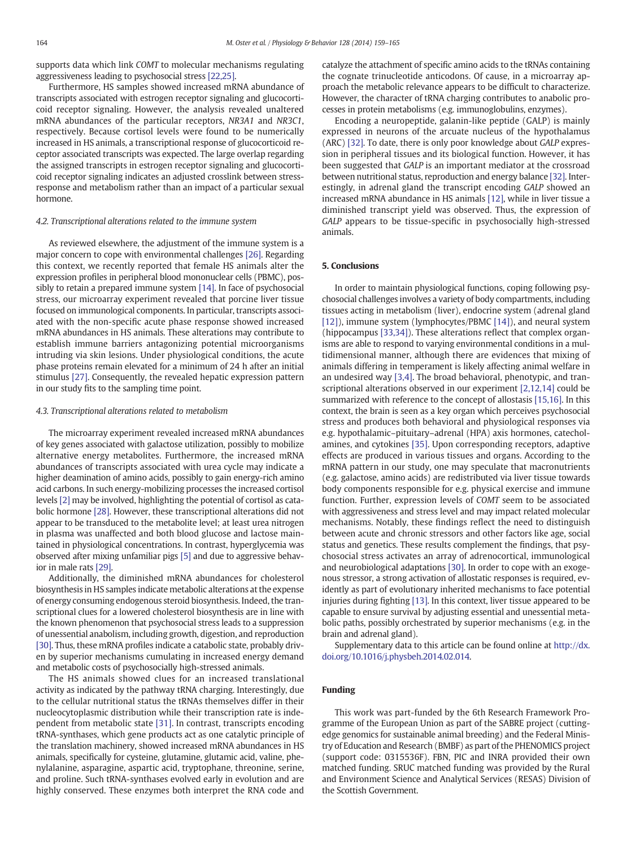supports data which link COMT to molecular mechanisms regulating aggressiveness leading to psychosocial stress [\[22,25\].](#page-6-0)

Furthermore, HS samples showed increased mRNA abundance of transcripts associated with estrogen receptor signaling and glucocorticoid receptor signaling. However, the analysis revealed unaltered mRNA abundances of the particular receptors, NR3A1 and NR3C1, respectively. Because cortisol levels were found to be numerically increased in HS animals, a transcriptional response of glucocorticoid receptor associated transcripts was expected. The large overlap regarding the assigned transcripts in estrogen receptor signaling and glucocorticoid receptor signaling indicates an adjusted crosslink between stressresponse and metabolism rather than an impact of a particular sexual hormone.

#### 4.2. Transcriptional alterations related to the immune system

As reviewed elsewhere, the adjustment of the immune system is a major concern to cope with environmental challenges [\[26\]](#page-6-0). Regarding this context, we recently reported that female HS animals alter the expression profiles in peripheral blood mononuclear cells (PBMC), possibly to retain a prepared immune system [\[14\].](#page-6-0) In face of psychosocial stress, our microarray experiment revealed that porcine liver tissue focused on immunological components. In particular, transcripts associated with the non-specific acute phase response showed increased mRNA abundances in HS animals. These alterations may contribute to establish immune barriers antagonizing potential microorganisms intruding via skin lesions. Under physiological conditions, the acute phase proteins remain elevated for a minimum of 24 h after an initial stimulus [\[27\]](#page-6-0). Consequently, the revealed hepatic expression pattern in our study fits to the sampling time point.

#### 4.3. Transcriptional alterations related to metabolism

The microarray experiment revealed increased mRNA abundances of key genes associated with galactose utilization, possibly to mobilize alternative energy metabolites. Furthermore, the increased mRNA abundances of transcripts associated with urea cycle may indicate a higher deamination of amino acids, possibly to gain energy-rich amino acid carbons. In such energy-mobilizing processes the increased cortisol levels [\[2\]](#page-6-0) may be involved, highlighting the potential of cortisol as catabolic hormone [\[28\]](#page-6-0). However, these transcriptional alterations did not appear to be transduced to the metabolite level; at least urea nitrogen in plasma was unaffected and both blood glucose and lactose maintained in physiological concentrations. In contrast, hyperglycemia was observed after mixing unfamiliar pigs [\[5\]](#page-6-0) and due to aggressive behavior in male rats [\[29\].](#page-6-0)

Additionally, the diminished mRNA abundances for cholesterol biosynthesis in HS samples indicate metabolic alterations at the expense of energy consuming endogenous steroid biosynthesis. Indeed, the transcriptional clues for a lowered cholesterol biosynthesis are in line with the known phenomenon that psychosocial stress leads to a suppression of unessential anabolism, including growth, digestion, and reproduction [\[30\]](#page-6-0). Thus, these mRNA profiles indicate a catabolic state, probably driven by superior mechanisms cumulating in increased energy demand and metabolic costs of psychosocially high-stressed animals.

The HS animals showed clues for an increased translational activity as indicated by the pathway tRNA charging. Interestingly, due to the cellular nutritional status the tRNAs themselves differ in their nucleocytoplasmic distribution while their transcription rate is independent from metabolic state [\[31\].](#page-6-0) In contrast, transcripts encoding tRNA-synthases, which gene products act as one catalytic principle of the translation machinery, showed increased mRNA abundances in HS animals, specifically for cysteine, glutamine, glutamic acid, valine, phenylalanine, asparagine, aspartic acid, tryptophane, threonine, serine, and proline. Such tRNA-synthases evolved early in evolution and are highly conserved. These enzymes both interpret the RNA code and catalyze the attachment of specific amino acids to the tRNAs containing the cognate trinucleotide anticodons. Of cause, in a microarray approach the metabolic relevance appears to be difficult to characterize. However, the character of tRNA charging contributes to anabolic processes in protein metabolisms (e.g. immunoglobulins, enzymes).

Encoding a neuropeptide, galanin-like peptide (GALP) is mainly expressed in neurons of the arcuate nucleus of the hypothalamus (ARC) [\[32\]](#page-6-0). To date, there is only poor knowledge about GALP expression in peripheral tissues and its biological function. However, it has been suggested that GALP is an important mediator at the crossroad between nutritional status, reproduction and energy balance [\[32\]](#page-6-0). Interestingly, in adrenal gland the transcript encoding GALP showed an increased mRNA abundance in HS animals [\[12\],](#page-6-0) while in liver tissue a diminished transcript yield was observed. Thus, the expression of GALP appears to be tissue-specific in psychosocially high-stressed animals.

#### 5. Conclusions

In order to maintain physiological functions, coping following psychosocial challenges involves a variety of body compartments, including tissues acting in metabolism (liver), endocrine system (adrenal gland [\[12\]\)](#page-6-0), immune system (lymphocytes/PBMC [\[14\]\)](#page-6-0), and neural system (hippocampus [\[33,34\]\)](#page-6-0). These alterations reflect that complex organisms are able to respond to varying environmental conditions in a multidimensional manner, although there are evidences that mixing of animals differing in temperament is likely affecting animal welfare in an undesired way [\[3,4\]](#page-6-0). The broad behavioral, phenotypic, and transcriptional alterations observed in our experiment [\[2,12,14\]](#page-6-0) could be summarized with reference to the concept of allostasis [\[15,16\]](#page-6-0). In this context, the brain is seen as a key organ which perceives psychosocial stress and produces both behavioral and physiological responses via e.g. hypothalamic–pituitary–adrenal (HPA) axis hormones, catecholamines, and cytokines [\[35\].](#page-6-0) Upon corresponding receptors, adaptive effects are produced in various tissues and organs. According to the mRNA pattern in our study, one may speculate that macronutrients (e.g. galactose, amino acids) are redistributed via liver tissue towards body components responsible for e.g. physical exercise and immune function. Further, expression levels of COMT seem to be associated with aggressiveness and stress level and may impact related molecular mechanisms. Notably, these findings reflect the need to distinguish between acute and chronic stressors and other factors like age, social status and genetics. These results complement the findings, that psychosocial stress activates an array of adrenocortical, immunological and neurobiological adaptations [\[30\]](#page-6-0). In order to cope with an exogenous stressor, a strong activation of allostatic responses is required, evidently as part of evolutionary inherited mechanisms to face potential injuries during fighting [\[13\]](#page-6-0). In this context, liver tissue appeared to be capable to ensure survival by adjusting essential and unessential metabolic paths, possibly orchestrated by superior mechanisms (e.g. in the brain and adrenal gland).

Supplementary data to this article can be found online at [http://dx.](http://dx.doi.org/10.1016/j.physbeh.2014.02.014) [doi.org/10.1016/j.physbeh.2014.02.014.](http://dx.doi.org/10.1016/j.physbeh.2014.02.014)

# Funding

This work was part-funded by the 6th Research Framework Programme of the European Union as part of the SABRE project (cuttingedge genomics for sustainable animal breeding) and the Federal Ministry of Education and Research (BMBF) as part of the PHENOMICS project (support code: 0315536F). FBN, PIC and INRA provided their own matched funding. SRUC matched funding was provided by the Rural and Environment Science and Analytical Services (RESAS) Division of the Scottish Government.